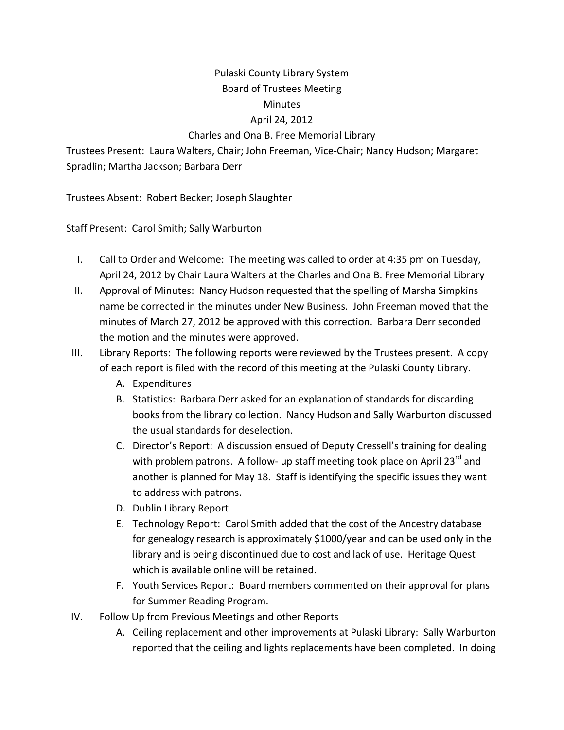## Pulaski County Library System Board of Trustees Meeting Minutes

## April 24, 2012

## Charles and Ona B. Free Memorial Library

Trustees Present: Laura Walters, Chair; John Freeman, Vice‐Chair; Nancy Hudson; Margaret Spradlin; Martha Jackson; Barbara Derr

Trustees Absent: Robert Becker; Joseph Slaughter

Staff Present: Carol Smith; Sally Warburton

- I. Call to Order and Welcome: The meeting was called to order at 4:35 pm on Tuesday, April 24, 2012 by Chair Laura Walters at the Charles and Ona B. Free Memorial Library
- II. Approval of Minutes: Nancy Hudson requested that the spelling of Marsha Simpkins name be corrected in the minutes under New Business. John Freeman moved that the minutes of March 27, 2012 be approved with this correction. Barbara Derr seconded the motion and the minutes were approved.
- III. Library Reports: The following reports were reviewed by the Trustees present. A copy of each report is filed with the record of this meeting at the Pulaski County Library.
	- A. Expenditures
	- B. Statistics: Barbara Derr asked for an explanation of standards for discarding books from the library collection. Nancy Hudson and Sally Warburton discussed the usual standards for deselection.
	- C. Director's Report: A discussion ensued of Deputy Cressell's training for dealing with problem patrons. A follow- up staff meeting took place on April 23<sup>rd</sup> and another is planned for May 18. Staff is identifying the specific issues they want to address with patrons.
	- D. Dublin Library Report
	- E. Technology Report: Carol Smith added that the cost of the Ancestry database for genealogy research is approximately \$1000/year and can be used only in the library and is being discontinued due to cost and lack of use. Heritage Quest which is available online will be retained.
	- F. Youth Services Report: Board members commented on their approval for plans for Summer Reading Program.
- IV. Follow Up from Previous Meetings and other Reports
	- A. Ceiling replacement and other improvements at Pulaski Library: Sally Warburton reported that the ceiling and lights replacements have been completed. In doing